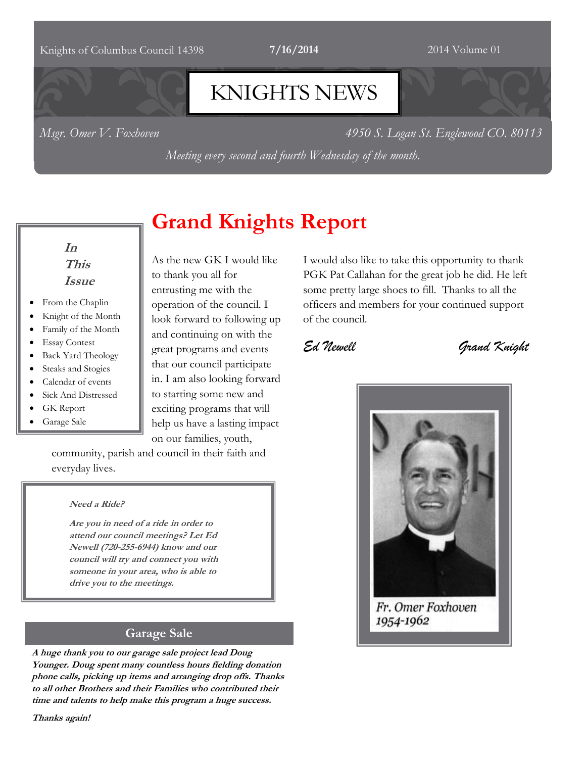#### Knights of Columbus Council 14398 **7/16/2014** 2014 2014 Volume 01

# KNIGHTS NEWS

*Msgr. Omer V. Foxhoven 4950 S. Logan St. Englewood CO. 80113*

*Meeting every second and fourth Wednesday of the month.*

## **In This Issue**

- From the Chaplin
- Knight of the Month
- Family of the Month
- Essay Contest
- Back Yard Theology
- Steaks and Stogies
- Calendar of events
- Sick And Distressed
- GK Report
- Garage Sale

# As the new GK I would like to thank you all for entrusting me with the

**Grand Knights Report**

operation of the council. I look forward to following up and continuing on with the great programs and events that our council participate in. I am also looking forward to starting some new and exciting programs that will help us have a lasting impact on our families, youth,

community, parish and council in their faith and everyday lives.

#### **Need a Ride?**

**Are you in need of a ride in order to attend our council meetings? Let Ed Newell (720-255-6944) know and our council will try and connect you with someone in your area, who is able to drive you to the meetings.** 

## **Garage Sale**

**A huge thank you to our garage sale project lead Doug Younger. Doug spent many countless hours fielding donation phone calls, picking up items and arranging drop offs. Thanks to all other Brothers and their Families who contributed their time and talents to help make this program a huge success.**

**Thanks again!**

I would also like to take this opportunity to thank PGK Pat Callahan for the great job he did. He left some pretty large shoes to fill. Thanks to all the officers and members for your continued support of the council.

# *Ed Newell Grand Knight*



## Fr. Omer Foxhoven 1954-1962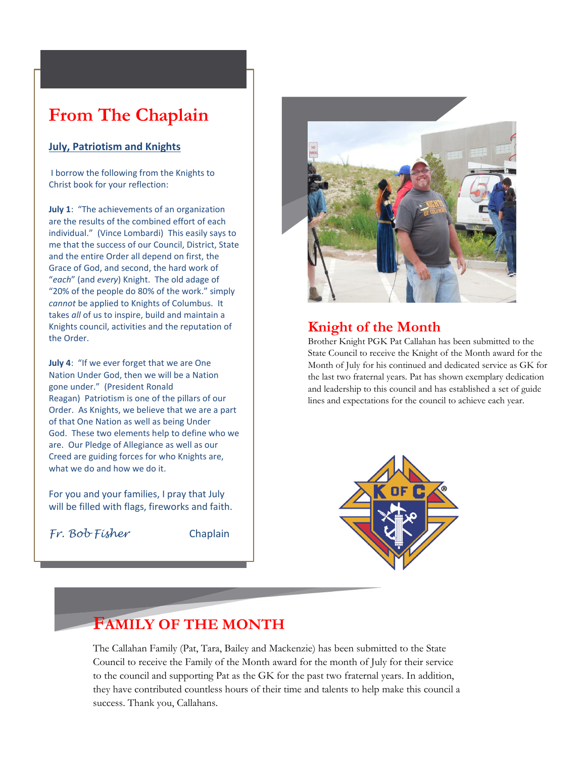# **From The Chaplain**

#### **July, Patriotism and Knights**

I borrow the following from the Knights to Christ book for your reflection:

**July 1**: "The achievements of an organization are the results of the combined effort of each individual." (Vince Lombardi) This easily says to me that the success of our Council, District, State and the entire Order all depend on first, the Grace of God, and second, the hard work of "*each*" (and *every*) Knight. The old adage of "20% of the people do 80% of the work." simply *cannot* be applied to Knights of Columbus. It takes *all* of us to inspire, build and maintain a Knights council, activities and the reputation of the Order.

**July 4**: "If we ever forget that we are One Nation Under God, then we will be a Nation gone under." (President Ronald Reagan) Patriotism is one of the pillars of our Order. As Knights, we believe that we are a part of that One Nation as well as being Under God. These two elements help to define who we are. Our Pledge of Allegiance as well as our Creed are guiding forces for who Knights are, what we do and how we do it.

For you and your families, I pray that July will be filled with flags, fireworks and faith.

*Fr. Bob Fisher* Chaplain



## **Knight of the Month**

Brother Knight PGK Pat Callahan has been submitted to the State Council to receive the Knight of the Month award for the Month of July for his continued and dedicated service as GK for the last two fraternal years. Pat has shown exemplary dedication and leadership to this council and has established a set of guide lines and expectations for the council to achieve each year.



# **FAMILY OF THE MONTH**

The Callahan Family (Pat, Tara, Bailey and Mackenzie) has been submitted to the State Council to receive the Family of the Month award for the month of July for their service to the council and supporting Pat as the GK for the past two fraternal years. In addition, they have contributed countless hours of their time and talents to help make this council a success. Thank you, Callahans.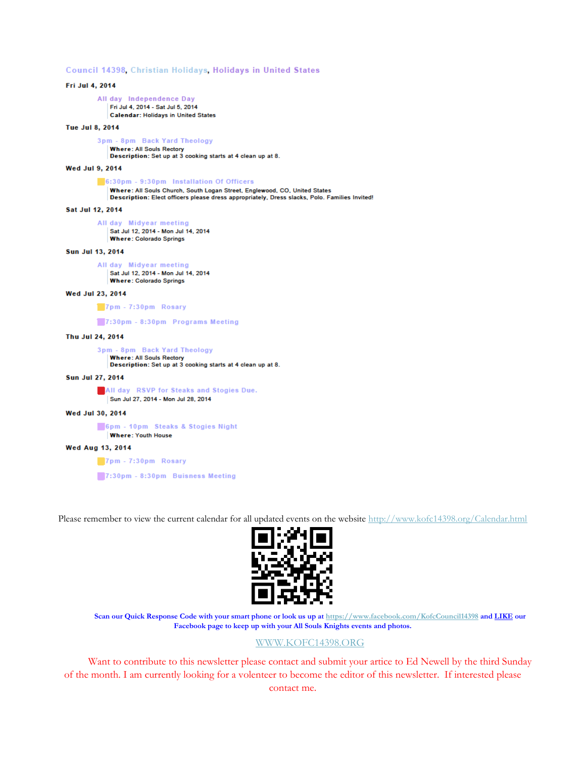Council 14398, Christian Holidays, Holidays in United States

Fri Jul 4, 2014 All day Independence Day Fri Jul 4, 2014 - Sat Jul 5, 2014 **Calendar: Holidays in United States** Tue Jul 8, 2014 3pm - 8pm Back Yard Theology **Where: All Souls Rectory** Description: Set up at 3 cooking starts at 4 clean up at 8. Wed Jul 9, 2014 6:30pm - 9:30pm Installation Of Officers Where: All Souls Church, South Logan Street, Englewood, CO, United States Description: Elect officers please dress appropriately, Dress slacks, Polo. Families Invited! Sat Jul 12, 2014 All day Midyear meeting Sat Jul 12, 2014 - Mon Jul 14, 2014 **Where: Colorado Springs** Sun Jul 13, 2014 All day Midyear meeting Sat Jul 12, 2014 - Mon Jul 14, 2014 **Where: Colorado Springs** Wed Jul 23, 2014 7pm - 7:30pm Rosary 7:30pm - 8:30pm Programs Meeting Thu Jul 24, 2014 3pm - 8pm Back Yard Theology **Where: All Souls Rectory** Description: Set up at 3 cooking starts at 4 clean up at 8. **Sun Jul 27, 2014** All day RSVP for Steaks and Stogies Due. Sun Jul 27, 2014 - Mon Jul 28, 2014 Wed Jul 30, 2014 6pm - 10pm Steaks & Stogies Night **Where: Youth House Wed Aug 13, 2014** 7pm - 7:30pm Rosary

7:30pm - 8:30pm Buisness Meeting

Please remember to view the current calendar for all updated events on the website<http://www.kofc14398.org/Calendar.html>



**Scan our Quick Response Code with your smart phone or look us up at <https://www.facebook.com/KofcCouncil14398> and LIKE our Facebook page to keep up with your All Souls Knights events and photos.**

#### [WWW.KOFC14398.ORG](http://www.kofc14398.org/)

Want to contribute to this newsletter please contact and submit your artice to Ed Newell by the third Sunday of the month. I am currently looking for a volenteer to become the editor of this newsletter. If interested please